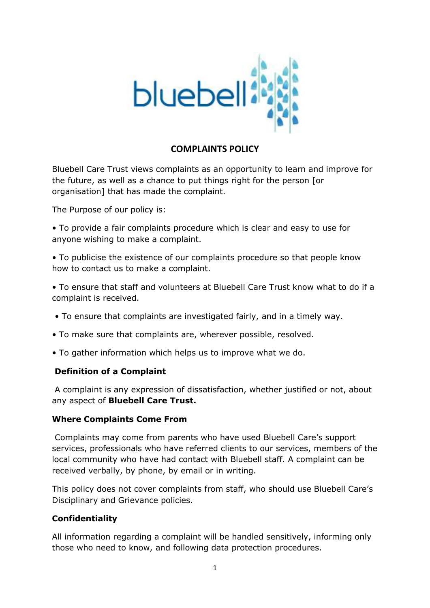

# **COMPLAINTS POLICY**

Bluebell Care Trust views complaints as an opportunity to learn and improve for the future, as well as a chance to put things right for the person [or organisation] that has made the complaint.

The Purpose of our policy is:

• To provide a fair complaints procedure which is clear and easy to use for anyone wishing to make a complaint.

• To publicise the existence of our complaints procedure so that people know how to contact us to make a complaint.

• To ensure that staff and volunteers at Bluebell Care Trust know what to do if a complaint is received.

- To ensure that complaints are investigated fairly, and in a timely way.
- To make sure that complaints are, wherever possible, resolved.
- To gather information which helps us to improve what we do.

#### **Definition of a Complaint**

A complaint is any expression of dissatisfaction, whether justified or not, about any aspect of **Bluebell Care Trust.**

#### **Where Complaints Come From**

Complaints may come from parents who have used Bluebell Care's support services, professionals who have referred clients to our services, members of the local community who have had contact with Bluebell staff. A complaint can be received verbally, by phone, by email or in writing.

This policy does not cover complaints from staff, who should use Bluebell Care's Disciplinary and Grievance policies.

#### **Confidentiality**

All information regarding a complaint will be handled sensitively, informing only those who need to know, and following data protection procedures.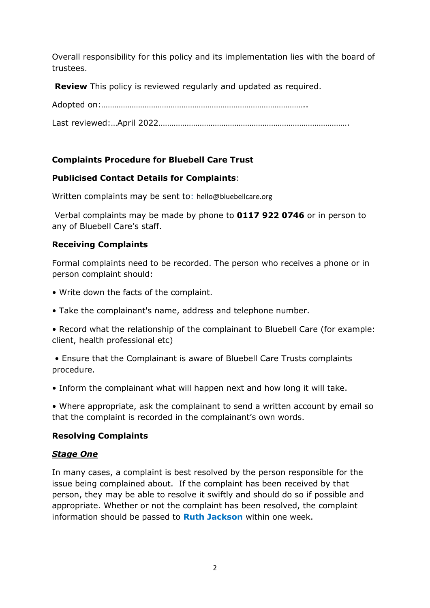Overall responsibility for this policy and its implementation lies with the board of trustees.

**Review** This policy is reviewed regularly and updated as required.

Adopted on:…………………………………………………………………………………..

Last reviewed:…April 2022…………………………………………………………………………….

# **Complaints Procedure for Bluebell Care Trust**

# **Publicised Contact Details for Complaints**:

Written complaints may be sent to: hello@bluebellcare.org

Verbal complaints may be made by phone to **0117 922 0746** or in person to any of Bluebell Care's staff.

## **Receiving Complaints**

Formal complaints need to be recorded. The person who receives a phone or in person complaint should:

- Write down the facts of the complaint.
- Take the complainant's name, address and telephone number.
- Record what the relationship of the complainant to Bluebell Care (for example: client, health professional etc)

• Ensure that the Complainant is aware of Bluebell Care Trusts complaints procedure.

• Inform the complainant what will happen next and how long it will take.

• Where appropriate, ask the complainant to send a written account by email so that the complaint is recorded in the complainant's own words.

## **Resolving Complaints**

## *Stage One*

In many cases, a complaint is best resolved by the person responsible for the issue being complained about. If the complaint has been received by that person, they may be able to resolve it swiftly and should do so if possible and appropriate. Whether or not the complaint has been resolved, the complaint information should be passed to **Ruth Jackson** within one week.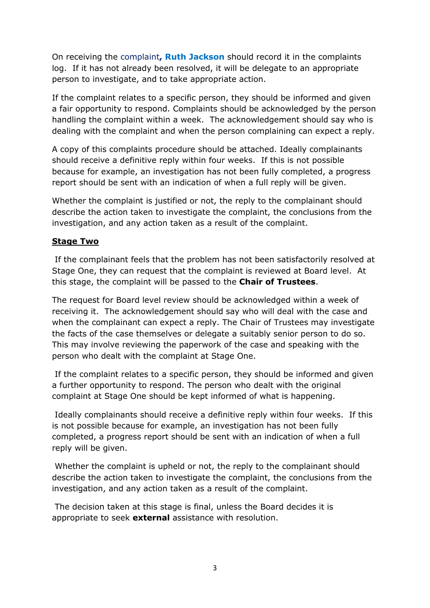On receiving the complaint**, Ruth Jackson** should record it in the complaints log. If it has not already been resolved, it will be delegate to an appropriate person to investigate, and to take appropriate action.

If the complaint relates to a specific person, they should be informed and given a fair opportunity to respond. Complaints should be acknowledged by the person handling the complaint within a week. The acknowledgement should say who is dealing with the complaint and when the person complaining can expect a reply.

A copy of this complaints procedure should be attached. Ideally complainants should receive a definitive reply within four weeks. If this is not possible because for example, an investigation has not been fully completed, a progress report should be sent with an indication of when a full reply will be given.

Whether the complaint is justified or not, the reply to the complainant should describe the action taken to investigate the complaint, the conclusions from the investigation, and any action taken as a result of the complaint.

### **Stage Two**

If the complainant feels that the problem has not been satisfactorily resolved at Stage One, they can request that the complaint is reviewed at Board level. At this stage, the complaint will be passed to the **Chair of Trustees**.

The request for Board level review should be acknowledged within a week of receiving it. The acknowledgement should say who will deal with the case and when the complainant can expect a reply. The Chair of Trustees may investigate the facts of the case themselves or delegate a suitably senior person to do so. This may involve reviewing the paperwork of the case and speaking with the person who dealt with the complaint at Stage One.

If the complaint relates to a specific person, they should be informed and given a further opportunity to respond. The person who dealt with the original complaint at Stage One should be kept informed of what is happening.

Ideally complainants should receive a definitive reply within four weeks. If this is not possible because for example, an investigation has not been fully completed, a progress report should be sent with an indication of when a full reply will be given.

Whether the complaint is upheld or not, the reply to the complainant should describe the action taken to investigate the complaint, the conclusions from the investigation, and any action taken as a result of the complaint.

The decision taken at this stage is final, unless the Board decides it is appropriate to seek **external** assistance with resolution.